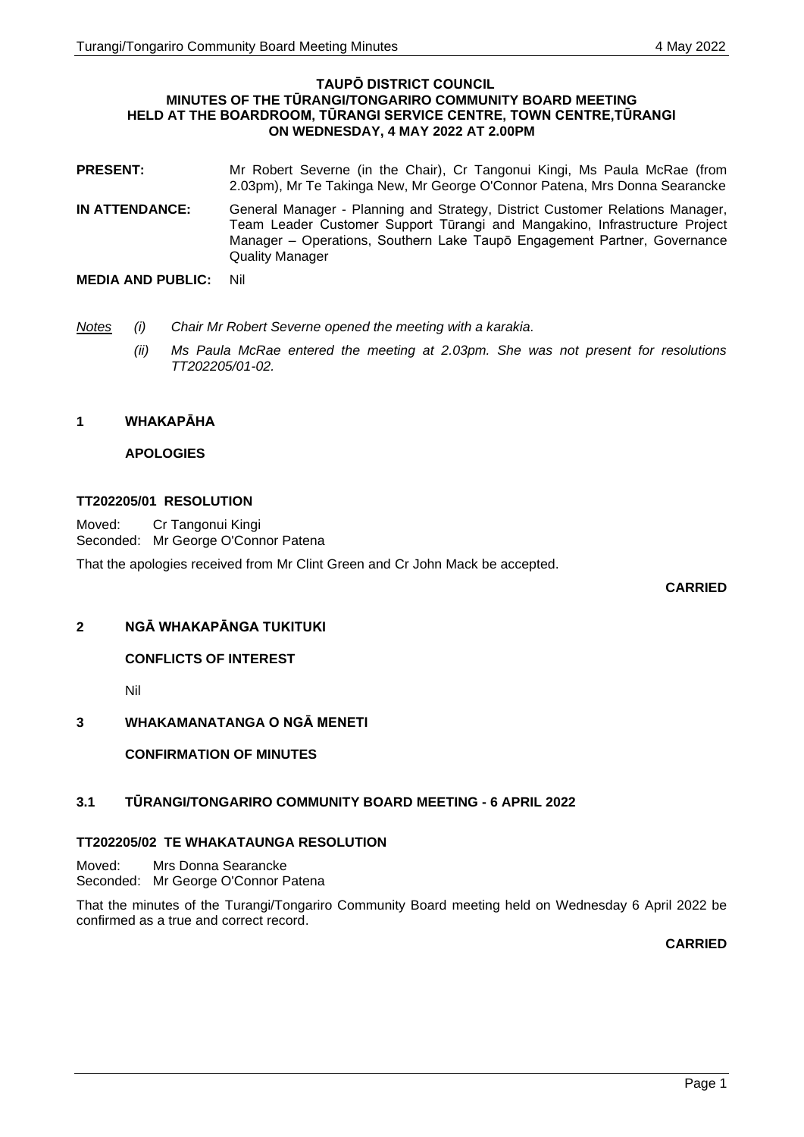#### **TAUPŌ DISTRICT COUNCIL MINUTES OF THE TŪRANGI/TONGARIRO COMMUNITY BOARD MEETING HELD AT THE BOARDROOM, TŪRANGI SERVICE CENTRE, TOWN CENTRE,TŪRANGI ON WEDNESDAY, 4 MAY 2022 AT 2.00PM**

- **PRESENT:** Mr Robert Severne (in the Chair), Cr Tangonui Kingi, Ms Paula McRae (from 2.03pm), Mr Te Takinga New, Mr George O'Connor Patena, Mrs Donna Searancke
- **IN ATTENDANCE:** General Manager Planning and Strategy, District Customer Relations Manager, Team Leader Customer Support Tūrangi and Mangakino, Infrastructure Project Manager – Operations, Southern Lake Taupō Engagement Partner, Governance Quality Manager

#### **MEDIA AND PUBLIC:** Nil

- *Notes (i) Chair Mr Robert Severne opened the meeting with a karakia.*
	- *(ii) Ms Paula McRae entered the meeting at 2.03pm. She was not present for resolutions TT202205/01-02.*

# **1 WHAKAPĀHA**

# **APOLOGIES**

# **TT202205/01 RESOLUTION**

Moved: Cr Tangonui Kingi Seconded: Mr George O'Connor Patena

That the apologies received from Mr Clint Green and Cr John Mack be accepted.

# **CARRIED**

# **2 NGĀ WHAKAPĀNGA TUKITUKI**

**CONFLICTS OF INTEREST**

Nil

# **3 WHAKAMANATANGA O NGĀ MENETI**

# **CONFIRMATION OF MINUTES**

# **3.1 TŪRANGI/TONGARIRO COMMUNITY BOARD MEETING - 6 APRIL 2022**

# **TT202205/02 TE WHAKATAUNGA RESOLUTION**

Moved: Mrs Donna Searancke Seconded: Mr George O'Connor Patena

That the minutes of the Turangi/Tongariro Community Board meeting held on Wednesday 6 April 2022 be confirmed as a true and correct record.

**CARRIED**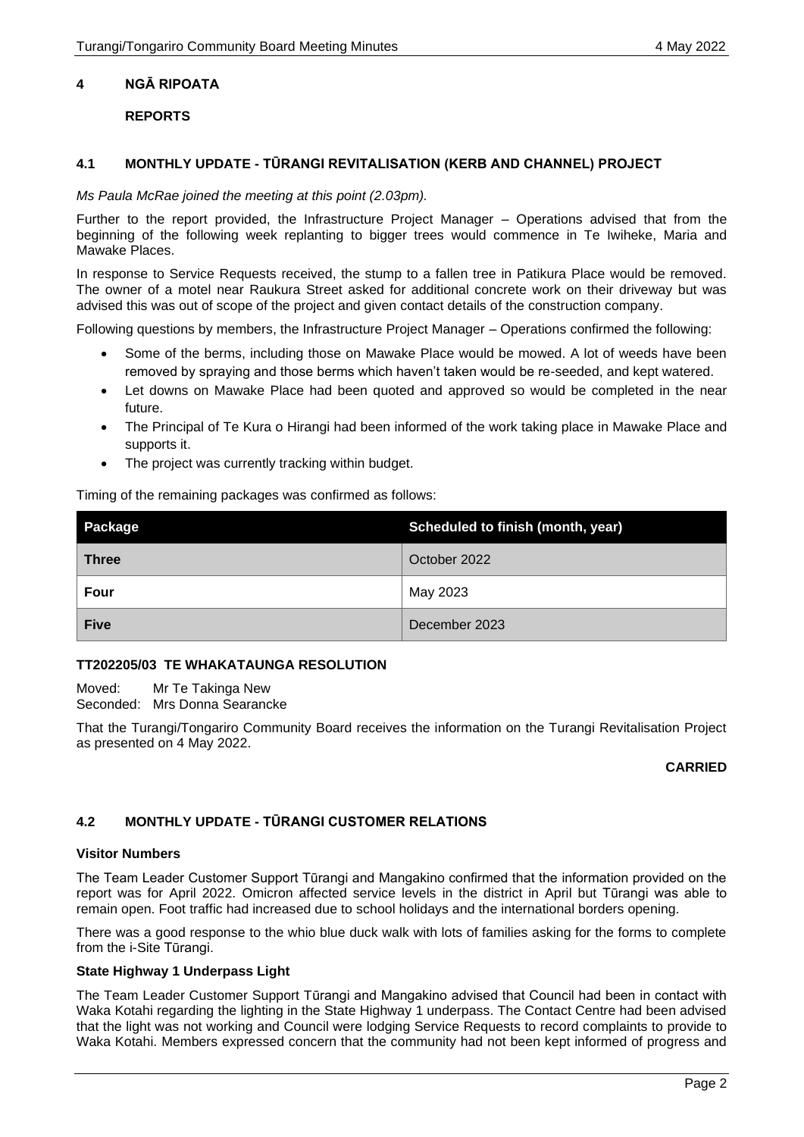# **4 NGĀ RIPOATA**

# **REPORTS**

#### **4.1 MONTHLY UPDATE - TŪRANGI REVITALISATION (KERB AND CHANNEL) PROJECT**

*Ms Paula McRae joined the meeting at this point (2.03pm).*

Further to the report provided, the Infrastructure Project Manager – Operations advised that from the beginning of the following week replanting to bigger trees would commence in Te Iwiheke, Maria and Mawake Places.

In response to Service Requests received, the stump to a fallen tree in Patikura Place would be removed. The owner of a motel near Raukura Street asked for additional concrete work on their driveway but was advised this was out of scope of the project and given contact details of the construction company.

Following questions by members, the Infrastructure Project Manager – Operations confirmed the following:

- Some of the berms, including those on Mawake Place would be mowed. A lot of weeds have been removed by spraying and those berms which haven't taken would be re-seeded, and kept watered.
- Let downs on Mawake Place had been quoted and approved so would be completed in the near future.
- The Principal of Te Kura o Hirangi had been informed of the work taking place in Mawake Place and supports it.
- The project was currently tracking within budget.

Timing of the remaining packages was confirmed as follows:

| Package      | Scheduled to finish (month, year) |
|--------------|-----------------------------------|
| <b>Three</b> | October 2022                      |
| Four         | May 2023                          |
| <b>Five</b>  | December 2023                     |

# **TT202205/03 TE WHAKATAUNGA RESOLUTION**

Moved: Mr Te Takinga New Seconded: Mrs Donna Searancke

That the Turangi/Tongariro Community Board receives the information on the Turangi Revitalisation Project as presented on 4 May 2022.

# **CARRIED**

# **4.2 MONTHLY UPDATE - TŪRANGI CUSTOMER RELATIONS**

#### **Visitor Numbers**

The Team Leader Customer Support Tūrangi and Mangakino confirmed that the information provided on the report was for April 2022. Omicron affected service levels in the district in April but Tūrangi was able to remain open. Foot traffic had increased due to school holidays and the international borders opening.

There was a good response to the whio blue duck walk with lots of families asking for the forms to complete from the i-Site Tūrangi.

#### **State Highway 1 Underpass Light**

The Team Leader Customer Support Tūrangi and Mangakino advised that Council had been in contact with Waka Kotahi regarding the lighting in the State Highway 1 underpass. The Contact Centre had been advised that the light was not working and Council were lodging Service Requests to record complaints to provide to Waka Kotahi. Members expressed concern that the community had not been kept informed of progress and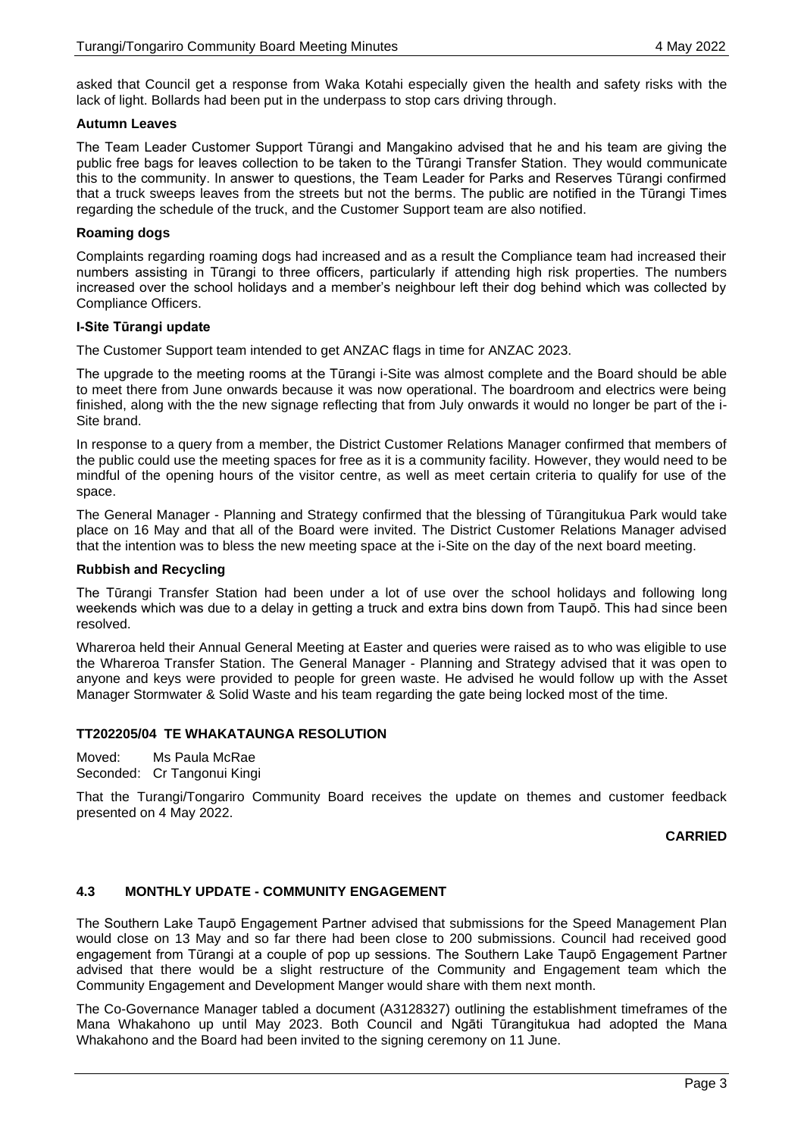asked that Council get a response from Waka Kotahi especially given the health and safety risks with the lack of light. Bollards had been put in the underpass to stop cars driving through.

#### **Autumn Leaves**

The Team Leader Customer Support Tūrangi and Mangakino advised that he and his team are giving the public free bags for leaves collection to be taken to the Tūrangi Transfer Station. They would communicate this to the community. In answer to questions, the Team Leader for Parks and Reserves Tūrangi confirmed that a truck sweeps leaves from the streets but not the berms. The public are notified in the Tūrangi Times regarding the schedule of the truck, and the Customer Support team are also notified.

#### **Roaming dogs**

Complaints regarding roaming dogs had increased and as a result the Compliance team had increased their numbers assisting in Tūrangi to three officers, particularly if attending high risk properties. The numbers increased over the school holidays and a member's neighbour left their dog behind which was collected by Compliance Officers.

#### **I-Site Tūrangi update**

The Customer Support team intended to get ANZAC flags in time for ANZAC 2023.

The upgrade to the meeting rooms at the Tūrangi i-Site was almost complete and the Board should be able to meet there from June onwards because it was now operational. The boardroom and electrics were being finished, along with the the new signage reflecting that from July onwards it would no longer be part of the i-Site brand.

In response to a query from a member, the District Customer Relations Manager confirmed that members of the public could use the meeting spaces for free as it is a community facility. However, they would need to be mindful of the opening hours of the visitor centre, as well as meet certain criteria to qualify for use of the space.

The General Manager - Planning and Strategy confirmed that the blessing of Tūrangitukua Park would take place on 16 May and that all of the Board were invited. The District Customer Relations Manager advised that the intention was to bless the new meeting space at the i-Site on the day of the next board meeting.

#### **Rubbish and Recycling**

The Tūrangi Transfer Station had been under a lot of use over the school holidays and following long weekends which was due to a delay in getting a truck and extra bins down from Taupō. This had since been resolved.

Whareroa held their Annual General Meeting at Easter and queries were raised as to who was eligible to use the Whareroa Transfer Station. The General Manager - Planning and Strategy advised that it was open to anyone and keys were provided to people for green waste. He advised he would follow up with the Asset Manager Stormwater & Solid Waste and his team regarding the gate being locked most of the time.

# **TT202205/04 TE WHAKATAUNGA RESOLUTION**

Moved: Ms Paula McRae Seconded: Cr Tangonui Kingi

That the Turangi/Tongariro Community Board receives the update on themes and customer feedback presented on 4 May 2022.

#### **CARRIED**

# **4.3 MONTHLY UPDATE - COMMUNITY ENGAGEMENT**

The Southern Lake Taupō Engagement Partner advised that submissions for the Speed Management Plan would close on 13 May and so far there had been close to 200 submissions. Council had received good engagement from Tūrangi at a couple of pop up sessions. The Southern Lake Taupō Engagement Partner advised that there would be a slight restructure of the Community and Engagement team which the Community Engagement and Development Manger would share with them next month.

The Co-Governance Manager tabled a document (A3128327) outlining the establishment timeframes of the Mana Whakahono up until May 2023. Both Council and Ngāti Tūrangitukua had adopted the Mana Whakahono and the Board had been invited to the signing ceremony on 11 June.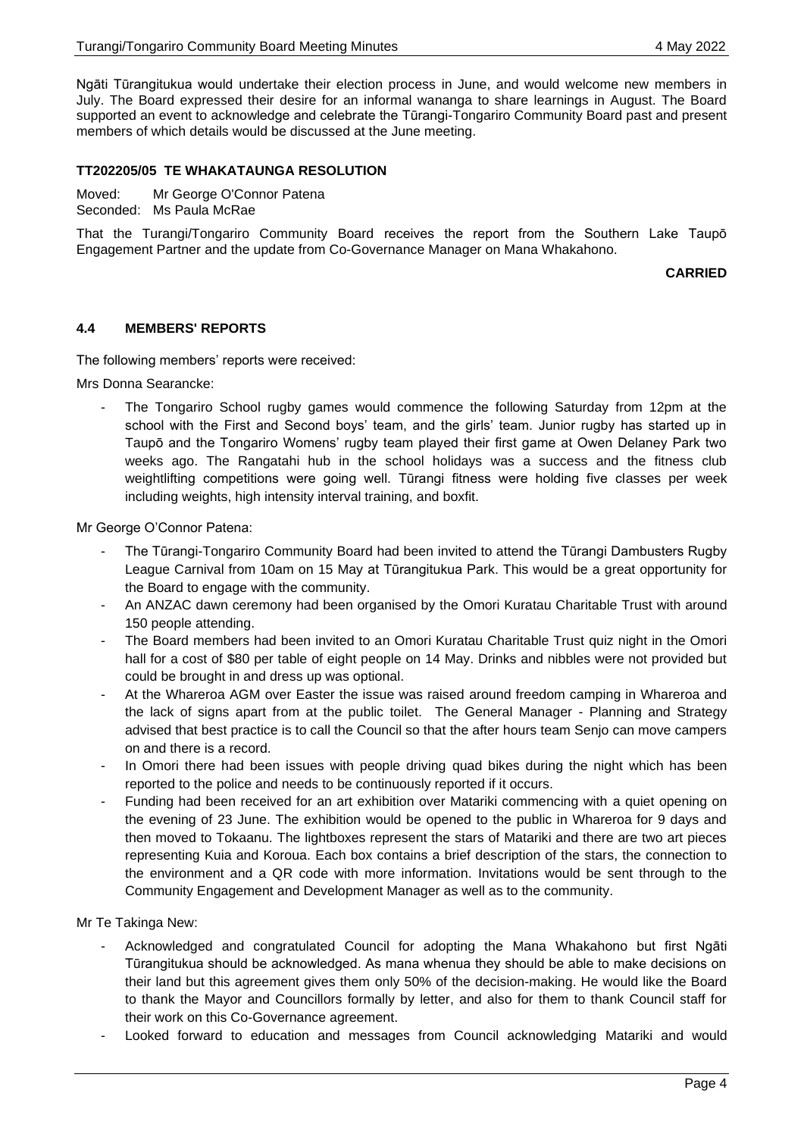Ngāti Tūrangitukua would undertake their election process in June, and would welcome new members in July. The Board expressed their desire for an informal wananga to share learnings in August. The Board supported an event to acknowledge and celebrate the Tūrangi-Tongariro Community Board past and present members of which details would be discussed at the June meeting.

#### **TT202205/05 TE WHAKATAUNGA RESOLUTION**

Moved: Mr George O'Connor Patena Seconded: Ms Paula McRae

That the Turangi/Tongariro Community Board receives the report from the Southern Lake Taupō Engagement Partner and the update from Co-Governance Manager on Mana Whakahono.

**CARRIED**

#### **4.4 MEMBERS' REPORTS**

The following members' reports were received:

Mrs Donna Searancke:

The Tongariro School rugby games would commence the following Saturday from 12pm at the school with the First and Second boys' team, and the girls' team. Junior rugby has started up in Taupō and the Tongariro Womens' rugby team played their first game at Owen Delaney Park two weeks ago. The Rangatahi hub in the school holidays was a success and the fitness club weightlifting competitions were going well. Tūrangi fitness were holding five classes per week including weights, high intensity interval training, and boxfit.

Mr George O'Connor Patena:

- The Tūrangi-Tongariro Community Board had been invited to attend the Tūrangi Dambusters Rugby League Carnival from 10am on 15 May at Tūrangitukua Park. This would be a great opportunity for the Board to engage with the community.
- An ANZAC dawn ceremony had been organised by the Omori Kuratau Charitable Trust with around 150 people attending.
- The Board members had been invited to an Omori Kuratau Charitable Trust quiz night in the Omori hall for a cost of \$80 per table of eight people on 14 May. Drinks and nibbles were not provided but could be brought in and dress up was optional.
- At the Whareroa AGM over Easter the issue was raised around freedom camping in Whareroa and the lack of signs apart from at the public toilet. The General Manager - Planning and Strategy advised that best practice is to call the Council so that the after hours team Senjo can move campers on and there is a record.
- In Omori there had been issues with people driving quad bikes during the night which has been reported to the police and needs to be continuously reported if it occurs.
- Funding had been received for an art exhibition over Matariki commencing with a quiet opening on the evening of 23 June. The exhibition would be opened to the public in Whareroa for 9 days and then moved to Tokaanu. The lightboxes represent the stars of Matariki and there are two art pieces representing Kuia and Koroua. Each box contains a brief description of the stars, the connection to the environment and a QR code with more information. Invitations would be sent through to the Community Engagement and Development Manager as well as to the community.

Mr Te Takinga New:

- Acknowledged and congratulated Council for adopting the Mana Whakahono but first Ngāti Tūrangitukua should be acknowledged. As mana whenua they should be able to make decisions on their land but this agreement gives them only 50% of the decision-making. He would like the Board to thank the Mayor and Councillors formally by letter, and also for them to thank Council staff for their work on this Co-Governance agreement.
- Looked forward to education and messages from Council acknowledging Matariki and would